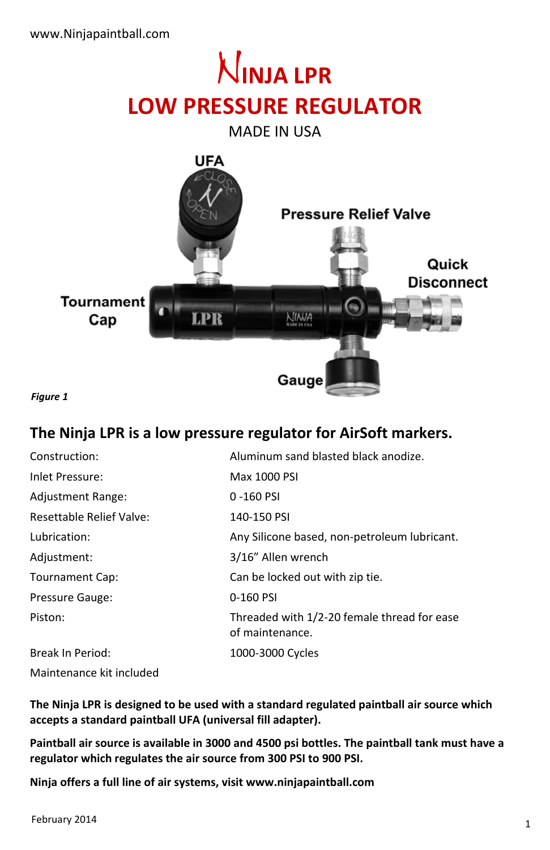# **INJA LPR LOW PRESSURE REGULATOR**

MADE IN USA



*Figure 1* 

### **The Ninja LPR is a low pressure regulator for AirSoft markers.**

| Construction:            | Aluminum sand blasted black anodize.                           |
|--------------------------|----------------------------------------------------------------|
| Inlet Pressure:          | Max 1000 PSI                                                   |
| Adjustment Range:        | 0-160 PSI                                                      |
| Resettable Relief Valve: | 140-150 PSI                                                    |
| Lubrication:             | Any Silicone based, non-petroleum lubricant.                   |
| Adjustment:              | 3/16" Allen wrench                                             |
| <b>Tournament Cap:</b>   | Can be locked out with zip tie.                                |
| Pressure Gauge:          | 0-160 PSI                                                      |
| Piston:                  | Threaded with 1/2-20 female thread for ease<br>of maintenance. |
| Break In Period:         | 1000-3000 Cycles                                               |
| Maintenance kit included |                                                                |

**The Ninja LPR is designed to be used with a standard regulated paintball air source which accepts a standard paintball UFA (universal fill adapter).** 

**Paintball air source is available in 3000 and 4500 psi bottles. The paintball tank must have a regulator which regulates the air source from 300 PSI to 900 PSI.** 

**Ninja offers a full line of air systems, visit www.ninjapaintball.com**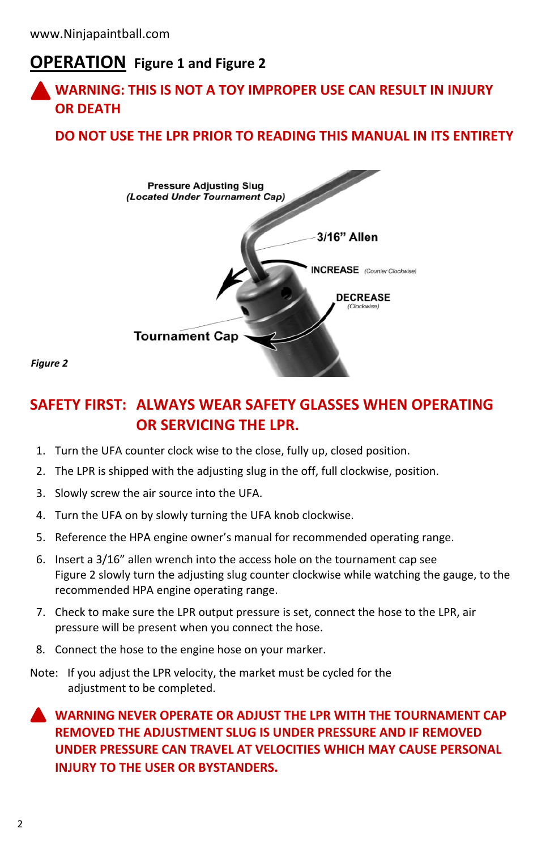## **OPERATION Figure 1 and Figure 2**

### **WARNING: THIS IS NOT A TOY IMPROPER USE CAN RESULT IN INJURY OR DEATH**

### **DO NOT USE THE LPR PRIOR TO READING THIS MANUAL IN ITS ENTIRETY**



*Figure 2* 

### **SAFETY FIRST: ALWAYS WEAR SAFETY GLASSES WHEN OPERATING OR SERVICING THE LPR.**

- 1. Turn the UFA counter clock wise to the close, fully up, closed position.
- 2. The LPR is shipped with the adjusting slug in the off, full clockwise, position.
- 3. Slowly screw the air source into the UFA.
- 4. Turn the UFA on by slowly turning the UFA knob clockwise.
- 5. Reference the HPA engine owner's manual for recommended operating range.
- 6. Insert a 3/16" allen wrench into the access hole on the tournament cap see Figure 2 slowly turn the adjusting slug counter clockwise while watching the gauge, to the recommended HPA engine operating range.
- 7. Check to make sure the LPR output pressure is set, connect the hose to the LPR, air pressure will be present when you connect the hose.
- 8. Connect the hose to the engine hose on your marker.
- Note: If you adjust the LPR velocity, the market must be cycled for the adjustment to be completed.

### **WARNING NEVER OPERATE OR ADJUST THE LPR WITH THE TOURNAMENT CAP REMOVED THE ADJUSTMENT SLUG IS UNDER PRESSURE AND IF REMOVED UNDER PRESSURE CAN TRAVEL AT VELOCITIES WHICH MAY CAUSE PERSONAL INJURY TO THE USER OR BYSTANDERS.**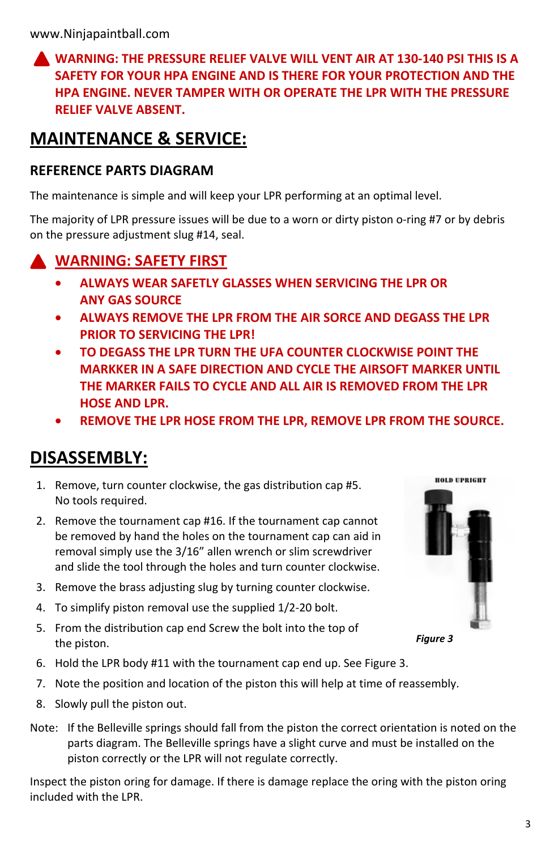### **WARNING: THE PRESSURE RELIEF VALVE WILL VENT AIR AT 130-140 PSI THIS IS A SAFETY FOR YOUR HPA ENGINE AND IS THERE FOR YOUR PROTECTION AND THE HPA ENGINE. NEVER TAMPER WITH OR OPERATE THE LPR WITH THE PRESSURE RELIEF VALVE ABSENT.**

# **MAINTENANCE & SERVICE:**

#### **REFERENCE PARTS DIAGRAM**

The maintenance is simple and will keep your LPR performing at an optimal level.

The majority of LPR pressure issues will be due to a worn or dirty piston o-ring #7 or by debris on the pressure adjustment slug #14, seal.

# **WARNING: SAFETY FIRST**

- **ALWAYS WEAR SAFETLY GLASSES WHEN SERVICING THE LPR OR ANY GAS SOURCE**
- **ALWAYS REMOVE THE LPR FROM THE AIR SORCE AND DEGASS THE LPR PRIOR TO SERVICING THE LPR!**
- **TO DEGASS THE LPR TURN THE UFA COUNTER CLOCKWISE POINT THE MARKKER IN A SAFE DIRECTION AND CYCLE THE AIRSOFT MARKER UNTIL THE MARKER FAILS TO CYCLE AND ALL AIR IS REMOVED FROM THE LPR HOSE AND LPR.**
- **REMOVE THE LPR HOSE FROM THE LPR, REMOVE LPR FROM THE SOURCE.**

# **DISASSEMBLY:**

- 1. Remove, turn counter clockwise, the gas distribution cap #5. No tools required.
- 2. Remove the tournament cap #16. If the tournament cap cannot be removed by hand the holes on the tournament cap can aid in removal simply use the 3/16" allen wrench or slim screwdriver and slide the tool through the holes and turn counter clockwise.
- 3. Remove the brass adjusting slug by turning counter clockwise.
- 4. To simplify piston removal use the supplied 1/2-20 bolt.
- 5. From the distribution cap end Screw the bolt into the top of the piston.
- 6. Hold the LPR body #11 with the tournament cap end up. See Figure 3.
- 7. Note the position and location of the piston this will help at time of reassembly.
- 8. Slowly pull the piston out.
- Note: If the Belleville springs should fall from the piston the correct orientation is noted on the parts diagram. The Belleville springs have a slight curve and must be installed on the piston correctly or the LPR will not regulate correctly.

Inspect the piston oring for damage. If there is damage replace the oring with the piston oring included with the LPR.